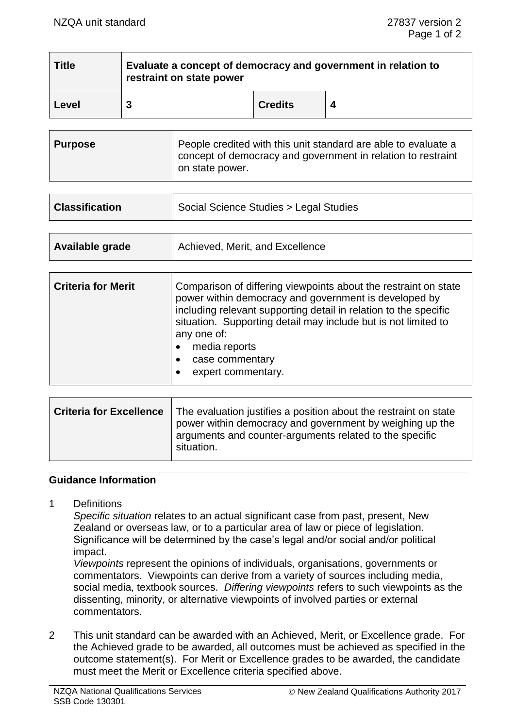| <b>Title</b> | Evaluate a concept of democracy and government in relation to<br>restraint on state power |                |  |
|--------------|-------------------------------------------------------------------------------------------|----------------|--|
| Level        |                                                                                           | <b>Credits</b> |  |

| <b>Purpose</b> | People credited with this unit standard are able to evaluate a<br>concept of democracy and government in relation to restraint<br>on state power. |
|----------------|---------------------------------------------------------------------------------------------------------------------------------------------------|
|----------------|---------------------------------------------------------------------------------------------------------------------------------------------------|

| <b>Classification</b> | Social Science Studies > Legal Studies |
|-----------------------|----------------------------------------|
|                       |                                        |

| <b>Criteria for Merit</b> | Comparison of differing viewpoints about the restraint on state<br>power within democracy and government is developed by<br>including relevant supporting detail in relation to the specific<br>situation. Supporting detail may include but is not limited to<br>any one of:<br>media reports<br>case commentary |
|---------------------------|-------------------------------------------------------------------------------------------------------------------------------------------------------------------------------------------------------------------------------------------------------------------------------------------------------------------|
|                           | expert commentary.                                                                                                                                                                                                                                                                                                |

#### **Guidance Information**

1 Definitions

*Specific situation* relates to an actual significant case from past, present, New Zealand or overseas law, or to a particular area of law or piece of legislation. Significance will be determined by the case's legal and/or social and/or political impact.

*Viewpoints* represent the opinions of individuals, organisations, governments or commentators. Viewpoints can derive from a variety of sources including media, social media, textbook sources. *Differing viewpoints* refers to such viewpoints as the dissenting, minority, or alternative viewpoints of involved parties or external commentators.

2 This unit standard can be awarded with an Achieved, Merit, or Excellence grade. For the Achieved grade to be awarded, all outcomes must be achieved as specified in the outcome statement(s). For Merit or Excellence grades to be awarded, the candidate must meet the Merit or Excellence criteria specified above.